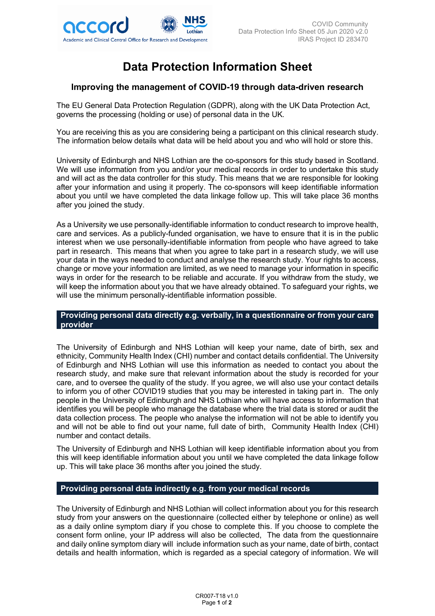

# **Data Protection Information Sheet**

## **Improving the management of COVID-19 through data-driven research**

The EU General Data Protection Regulation (GDPR), along with the UK Data Protection Act, governs the processing (holding or use) of personal data in the UK.

You are receiving this as you are considering being a participant on this clinical research study. The information below details what data will be held about you and who will hold or store this.

University of Edinburgh and NHS Lothian are the co-sponsors for this study based in Scotland. We will use information from you and/or your medical records in order to undertake this study and will act as the data controller for this study. This means that we are responsible for looking after your information and using it properly. The co-sponsors will keep identifiable information about you until we have completed the data linkage follow up. This will take place 36 months after you joined the study.

As a University we use personally-identifiable information to conduct research to improve health, care and services. As a publicly-funded organisation, we have to ensure that it is in the public interest when we use personally-identifiable information from people who have agreed to take part in research. This means that when you agree to take part in a research study, we will use your data in the ways needed to conduct and analyse the research study. Your rights to access, change or move your information are limited, as we need to manage your information in specific ways in order for the research to be reliable and accurate. If you withdraw from the study, we will keep the information about you that we have already obtained. To safeguard your rights, we will use the minimum personally-identifiable information possible.

### **Providing personal data directly e.g. verbally, in a questionnaire or from your care provider**

The University of Edinburgh and NHS Lothian will keep your name, date of birth, sex and ethnicity, Community Health Index (CHI) number and contact details confidential. The University of Edinburgh and NHS Lothian will use this information as needed to contact you about the research study, and make sure that relevant information about the study is recorded for your care, and to oversee the quality of the study. If you agree, we will also use your contact details to inform you of other COVID19 studies that you may be interested in taking part in. The only people in the University of Edinburgh and NHS Lothian who will have access to information that identifies you will be people who manage the database where the trial data is stored or audit the data collection process. The people who analyse the information will not be able to identify you and will not be able to find out your name, full date of birth, Community Health Index (CHI) number and contact details.

The University of Edinburgh and NHS Lothian will keep identifiable information about you from this will keep identifiable information about you until we have completed the data linkage follow up. This will take place 36 months after you joined the study.

### **Providing personal data indirectly e.g. from your medical records**

The University of Edinburgh and NHS Lothian will collect information about you for this research study from your answers on the questionnaire (collected either by telephone or online) as well as a daily online symptom diary if you chose to complete this. If you choose to complete the consent form online, your IP address will also be collected, The data from the questionnaire and daily online symptom diary will include information such as your name, date of birth, contact details and health information, which is regarded as a special category of information. We will